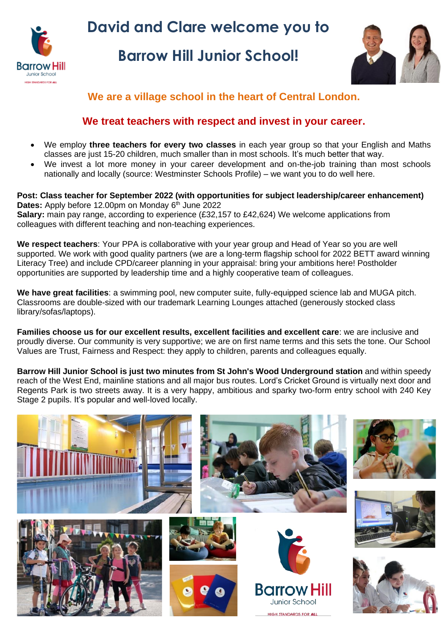

# **David and Clare welcome you to**

**Barrow Hill Junior School!**



### **We are a village school in the heart of Central London.**

### **We treat teachers with respect and invest in your career.**

- We employ **three teachers for every two classes** in each year group so that your English and Maths classes are just 15-20 children, much smaller than in most schools. It's much better that way.
- We invest a lot more money in your career development and on-the-job training than most schools nationally and locally (source: Westminster Schools Profile) – we want you to do well here.

#### **Post: Class teacher for September 2022 (with opportunities for subject leadership/career enhancement)** Dates: Apply before 12.00pm on Monday 6<sup>th</sup> June 2022

**Salary:** main pay range, according to experience (£32,157 to £42,624) We welcome applications from colleagues with different teaching and non-teaching experiences.

**We respect teachers**: Your PPA is collaborative with your year group and Head of Year so you are well supported. We work with good quality partners (we are a long-term flagship school for 2022 BETT award winning Literacy Tree) and include CPD/career planning in your appraisal: bring your ambitions here! Postholder opportunities are supported by leadership time and a highly cooperative team of colleagues.

**We have great facilities**: a swimming pool, new computer suite, fully-equipped science lab and MUGA pitch. Classrooms are double-sized with our trademark Learning Lounges attached (generously stocked class library/sofas/laptops).

**Families choose us for our excellent results, excellent facilities and excellent care**: we are inclusive and proudly diverse. Our community is very supportive; we are on first name terms and this sets the tone. Our School Values are Trust, Fairness and Respect: they apply to children, parents and colleagues equally.

**Barrow Hill Junior School is just two minutes from St John's Wood Underground station** and within speedy reach of the West End, mainline stations and all major bus routes. Lord's Cricket Ground is virtually next door and Regents Park is two streets away. It is a very happy, ambitious and sparky two-form entry school with 240 Key Stage 2 pupils. It's popular and well-loved locally.









HIGH STANDARDS FOR ALL